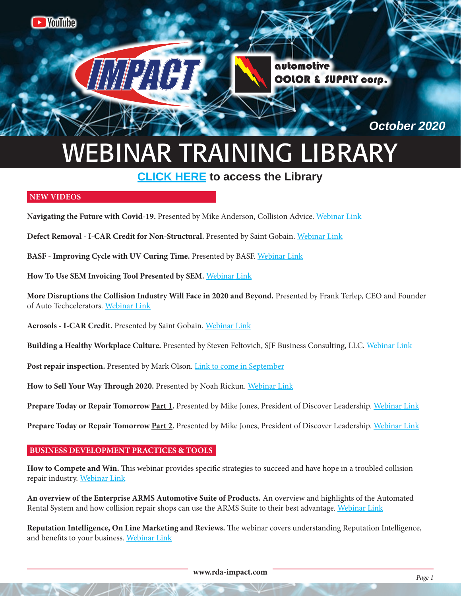

# WEBINAR TRAINING LIBRARY

# **[CLICK HERE](https://www.youtube.com/channel/UCXbq5hci4kj5HBGmnsKcK3A/videos) to access the Library**

# **NEW VIDEOS**

**Navigating the Future with Covid-19.** Presented by Mike Anderson, Collision Advice. [Webinar Link](https://www.youtube.com/watch?v=ENtNVFjDd2A&feature=youtu.be)

**Defect Removal - I-CAR Credit for Non-Structural.** Presented by Saint Gobain. [Webinar Link](https://www.youtube.com/watch?v=49QzkSGm8TM&feature=youtu.be)

**BASF - Improving Cycle with UV Curing Time.** Presented by BASF. [Webinar Link](https://www.youtube.com/watch?v=T9Eor6xBXz4&feature=youtu.be)

**How To Use SEM Invoicing Tool Presented by SEM.** [Webinar Link](https://www.youtube.com/watch?v=n4TXHKRu64w&feature=youtu.be)

**More Disruptions the Collision Industry Will Face in 2020 and Beyond.** Presented by Frank Terlep, CEO and Founder of Auto Techcelerators. [Webinar Link](https://www.youtube.com/watch?v=gKvlAk_Bwwg&feature=youtu.be)

**Aerosols - I-CAR Credit.** Presented by Saint Gobain. [Webinar Link](https://www.youtube.com/watch?v=WHY9aByDgR8&feature=youtu.be)

**Building a Healthy Workplace Culture.** Presented by Steven Feltovich, SJF Business Consulting, LLC. [Webinar Link](https://www.youtube.com/watch?v=rO3I4Kscc6I&feature=youtu.be) 

Post repair inspection. Presented by Mark Olson. **Link to come in September** 

**How to Sell Your Way Through 2020.** Presented by Noah Rickun. [Webinar Link](https://www.youtube.com/watch?v=dgtLLuKNdjE&feature=youtu.be)

**Prepare Today or Repair Tomorrow Part 1.** Presented by Mike Jones, President of Discover Leadership. [Webinar Link](https://www.youtube.com/watch?v=9isi6w-oKZ4&feature=youtu.be)

**Prepare Today or Repair Tomorrow Part 2.** Presented by Mike Jones, President of Discover Leadership. [Webinar Link](https://www.youtube.com/watch?v=Tqil1hWB7eg&feature=youtu.be)

# **BUSINESS DEVELOPMENT PRACTICES & TOOLS**

**How to Compete and Win.** This webinar provides specific strategies to succeed and have hope in a troubled collision repair industry. [Webinar Link](https://youtu.be/fYxTwAgZ6gU)

**An overview of the Enterprise ARMS Automotive Suite of Products.** An overview and highlights of the Automated Rental System and how collision repair shops can use the ARMS Suite to their best advantage. [Webinar Link](https://youtu.be/uqTB302-r6A)

**Reputation Intelligence, On Line Marketing and Reviews.** The webinar covers understanding Reputation Intelligence, and benefits to your business. [Webinar Link](https://www.youtube.com/watch?v=7tbSAQiwgk0)

**www.rda-impact.com**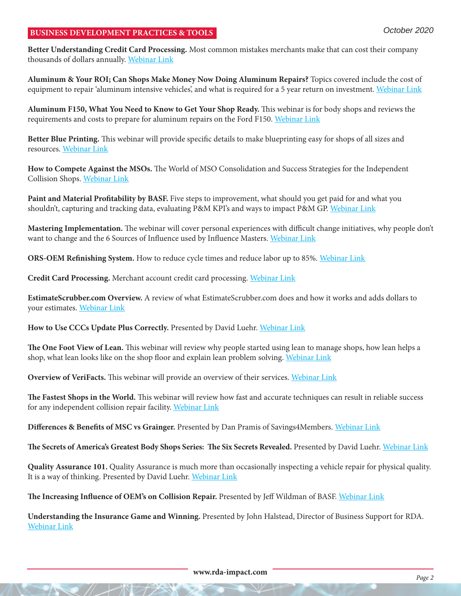# **BUSINESS DEVELOPMENT PRACTICES & TOOLS**

**Better Understanding Credit Card Processing.** Most common mistakes merchants make that can cost their company thousands of dollars annually. [Webinar Link](https://www.youtube.com/watch?v=Xmo_huJah_s)

**Aluminum & Your ROI; Can Shops Make Money Now Doing Aluminum Repairs?** Topics covered include the cost of equipment to repair 'aluminum intensive vehicles', and what is required for a 5 year return on investment. [Webinar Link](https://www.youtube.com/watch?v=wWGfc_yHa_M)

**Aluminum F150, What You Need to Know to Get Your Shop Ready.** This webinar is for body shops and reviews the requirements and costs to prepare for aluminum repairs on the Ford F150. [Webinar Link](https://www.youtube.com/watch?v=gLvmcpD_qsQ)

**Better Blue Printing.** This webinar will provide specific details to make blueprinting easy for shops of all sizes and resources. [Webinar Link](https://www.youtube.com/watch?v=4QcrgU3E6KY)

**How to Compete Against the MSOs.** The World of MSO Consolidation and Success Strategies for the Independent Collision Shops. [Webinar Link](https://www.youtube.com/watch?v=NobSgj2bE_c)

**Paint and Material Profitability by BASF.** Five steps to improvement, what should you get paid for and what you shouldn't, capturing and tracking data, evaluating P&M KPI's and ways to impact P&M GP. [Webinar Link](https://www.youtube.com/watch?v=yrFGpZNZ7nU)

**Mastering Implementation.** The webinar will cover personal experiences with difficult change initiatives, why people don't want to change and the 6 Sources of Influence used by Influence Masters. [Webinar Link](https://www.youtube.com/watch?v=JA7pJxWZCBQ)

**ORS-OEM Refinishing System.** How to reduce cycle times and reduce labor up to 85%. [Webinar Link](https://www.youtube.com/watch?v=gl8AXSi8JHo)

**Credit Card Processing.** Merchant account credit card processing. [Webinar Link](https://www.youtube.com/watch?v=Xmo_huJah_s)

**EstimateScrubber.com Overview.** A review of what EstimateScrubber.com does and how it works and adds dollars to your estimates. [Webinar Link](https://youtu.be/Dq8cLtr3lRY)

**How to Use CCCs Update Plus Correctly.** Presented by David Luehr. [Webinar Link](https://www.youtube.com/watch?v=BNBwYV7x31k)

**The One Foot View of Lean.** This webinar will review why people started using lean to manage shops, how lean helps a shop, what lean looks like on the shop floor and explain lean problem solving. [Webinar Link](https://youtu.be/aC3I4aN4WBI)

**Overview of VeriFacts.** This webinar will provide an overview of their services. [Webinar Link](https://www.youtube.com/watch?v=2QsLmUSGetc)

**The Fastest Shops in the World.** This webinar will review how fast and accurate techniques can result in reliable success for any independent collision repair facility. [Webinar Link](https://youtu.be/o_39w1iUH4c)

**Differences & Benefits of MSC vs Grainger.** Presented by Dan Pramis of Savings4Members. [Webinar Link](https://youtu.be/D65G1J0PUWo)

**The Secrets of America's Greatest Body Shops Series: The Six Secrets Revealed.** Presented by David Luehr. [Webinar Link](https://youtu.be/K0pcnbkrkQQ)

**Quality Assurance 101.** Quality Assurance is much more than occasionally inspecting a vehicle repair for physical quality. It is a way of thinking. Presented by David Luehr. [Webinar Link](https://youtu.be/5jpW4ZMjBWw)

**The Increasing Influence of OEM's on Collision Repair.** Presented by Jeff Wildman of BASF. [Webinar Link](https://youtu.be/xCgzdJ5tC1Y)

**Understanding the Insurance Game and Winning.** Presented by John Halstead, Director of Business Support for RDA. [Webinar Link](https://youtu.be/dvwFc5h-aiM)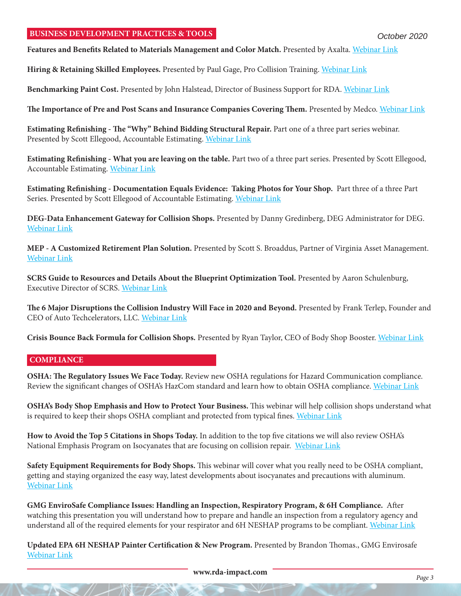#### **BUSINESS DEVELOPMENT PRACTICES & TOOLS**

**Features and Benefits Related to Materials Management and Color Match.** Presented by Axalta. [Webinar Link](https://youtu.be/w_g1hx6K-tU)

**Hiring & Retaining Skilled Employees.** Presented by Paul Gage, Pro Collision Training. [Webinar Link](https://www.youtube.com/watch?v=w3QvCRWmSRk&feature=youtu.be)

**Benchmarking Paint Cost.** Presented by John Halstead, Director of Business Support for RDA. [Webinar Link](https://youtu.be/-lc68nRLjmc)

**The Importance of Pre and Post Scans and Insurance Companies Covering Them.** Presented by Medco. [Webinar Link](https://youtu.be/pvOOjoj92aM)

**Estimating Refinishing - The "Why" Behind Bidding Structural Repair.** Part one of a three part series webinar. Presented by Scott Ellegood, Accountable Estimating. [Webinar Link](https://youtu.be/oqwjBw)

**Estimating Refinishing - What you are leaving on the table.** Part two of a three part series. Presented by Scott Ellegood, Accountable Estimating. [Webinar Link](https://youtu.be/oqwjBw)

**Estimating Refinishing - Documentation Equals Evidence: Taking Photos for Your Shop.** Part three of a three Part Series. Presented by Scott Ellegood of Accountable Estimating. [Webinar Link](https://youtu.be/JMQWlArEx14)

**DEG-Data Enhancement Gateway for Collision Shops.** Presented by Danny Gredinberg, DEG Administrator for DEG. [Webinar Link](https://youtu.be/HQQ9RiEBMTs)

**MEP - A Customized Retirement Plan Solution.** Presented by Scott S. Broaddus, Partner of Virginia Asset Management. [Webinar Link](https://youtu.be/IF6ua1D56pg)

**SCRS Guide to Resources and Details About the Blueprint Optimization Tool.** Presented by Aaron Schulenburg, Executive Director of SCRS. [Webinar Link](https://youtu.be/eDOx6NWEXyM)

**The 6 Major Disruptions the Collision Industry Will Face in 2020 and Beyond.** Presented by Frank Terlep, Founder and CEO of Auto Techcelerators, LLC. [Webinar Link](https://youtu.be/3Z10I56ufQE)

**Crisis Bounce Back Formula for Collision Shops.** Presented by Ryan Taylor, CEO of Body Shop Booster. [Webinar Link](https://youtu.be/_-I10zfCezY)

#### **COMPLIANCE**

**OSHA: The Regulatory Issues We Face Today.** Review new OSHA regulations for Hazard Communication compliance. Review the significant changes of OSHA's HazCom standard and learn how to obtain OSHA compliance. [Webinar Link](https://www.youtube.com/watch?v=NgonCZ4Xsds)

**OSHA's Body Shop Emphasis and How to Protect Your Business.** This webinar will help collision shops understand what is required to keep their shops OSHA compliant and protected from typical fines. [Webinar Link](https://www.youtube.com/watch?v=x9Jtgg9TMCE)

**How to Avoid the Top 5 Citations in Shops Today.** In addition to the top five citations we will also review OSHA's National Emphasis Program on Isocyanates that are focusing on collision repair. [Webinar Link](https://www.youtube.com/watch?v=YcxoidUX9wY)

**Safety Equipment Requirements for Body Shops.** This webinar will cover what you really need to be OSHA compliant, getting and staying organized the easy way, latest developments about isocyanates and precautions with aluminum. [Webinar Link](https://www.youtube.com/watch?v=YiZgSoiCcws)

**GMG EnviroSafe Compliance Issues: Handling an Inspection, Respiratory Program, & 6H Compliance.** After watching this presentation you will understand how to prepare and handle an inspection from a regulatory agency and understand all of the required elements for your respirator and 6H NESHAP programs to be compliant. [Webinar Link](https://youtu.be/8t8BzQD94QY)

**Updated EPA 6H NESHAP Painter Certification & New Program.** Presented by Brandon Thomas., GMG Envirosafe [Webinar Link](https://youtu.be/dseM4pjkPhM)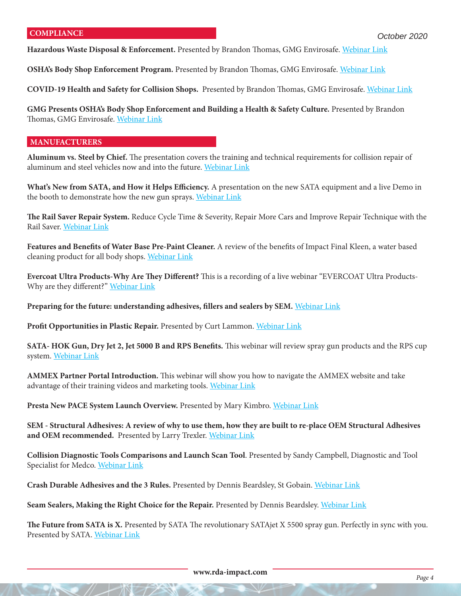**Hazardous Waste Disposal & Enforcement.** Presented by Brandon Thomas, GMG Envirosafe. [Webinar Link](https://youtu.be/ojWbwR1r60E)

**OSHA's Body Shop Enforcement Program.** Presented by Brandon Thomas, GMG Envirosafe. [Webinar Link](https://youtu.be/TVKKfAHVgbw)

**COVID-19 Health and Safety for Collision Shops.** Presented by Brandon Thomas, GMG Envirosafe. [Webinar Link](https://youtu.be/H6BEYBplvk0)

**GMG Presents OSHA's Body Shop Enforcement and Building a Health & Safety Culture.** Presented by Brandon Thomas, GMG Envirosafe. [Webinar Link](https://youtu.be/T0XW4wFSqI8)

#### **MANUFACTURERS**

**Aluminum vs. Steel by Chief.** The presentation covers the training and technical requirements for collision repair of aluminum and steel vehicles now and into the future. [Webinar Link](https://www.youtube.com/watch?v=FZHfV4RUdJ4)

**What's New from SATA, and How it Helps Efficiency.** A presentation on the new SATA equipment and a live Demo in the booth to demonstrate how the new gun sprays. [Webinar Link](https://www.youtube.com/watch?v=mhArLyttOEQ)

**The Rail Saver Repair System.** Reduce Cycle Time & Severity, Repair More Cars and Improve Repair Technique with the Rail Saver. [Webinar Link](https://www.youtube.com/watch?v=Hj0krpJCyoQ)

**Features and Benefits of Water Base Pre-Paint Cleaner.** A review of the benefits of Impact Final Kleen, a water based cleaning product for all body shops. [Webinar Link](https://www.youtube.com/watch?v=lRNP3MOcuO0)

**Evercoat Ultra Products-Why Are They Different?** This is a recording of a live webinar "EVERCOAT Ultra Products-Why are they different?" [Webinar Link](https://www.youtube.com/watch?v=MYiqSoTtWu8)

**Preparing for the future: understanding adhesives, fillers and sealers by SEM.** [Webinar Link](https://www.youtube.com/watch?v=nF6-RWM74_M)

**Profit Opportunities in Plastic Repair.** Presented by Curt Lammon. [Webinar Link](https://www.youtube.com/watch?v=0QGkQRgD4Zc&feature=youtu.be)

**SATA- HOK Gun, Dry Jet 2, Jet 5000 B and RPS Benefits.** This webinar will review spray gun products and the RPS cup system. [Webinar Link](https://www.youtube.com/watch?v=UOSUlQ-aozE)

**AMMEX Partner Portal Introduction.** This webinar will show you how to navigate the AMMEX website and take advantage of their training videos and marketing tools. [Webinar Link](https://youtu.be/e1Fghiw31H8)

**Presta New PACE System Launch Overview.** Presented by Mary Kimbro. [Webinar Link](https://youtu.be/7qZEjeGEEUU)

**SEM - Structural Adhesives: A review of why to use them, how they are built to re-place OEM Structural Adhesives and OEM recommended.** Presented by Larry Trexler. [Webinar Link](https://youtu.be/q7iMScjcP0E)

**Collision Diagnostic Tools Comparisons and Launch Scan Tool**. Presented by Sandy Campbell, Diagnostic and Tool Specialist for Medco. [Webinar Link](https://youtu.be/-lq97BFovSg)

**Crash Durable Adhesives and the 3 Rules.** Presented by Dennis Beardsley, St Gobain. [Webinar Link](https://youtu.be/8DDUAgheK1Q)

**Seam Sealers, Making the Right Choice for the Repair.** Presented by Dennis Beardsley. [Webinar Link](https://youtu.be/m9xM6VcpLcM)

**The Future from SATA is X.** Presented by SATA The revolutionary SATAjet X 5500 spray gun. Perfectly in sync with you. Presented by SATA. [Webinar Link](https://youtu.be/yVPROuXgQU8)

**www.rda-impact.com** *Page 4*